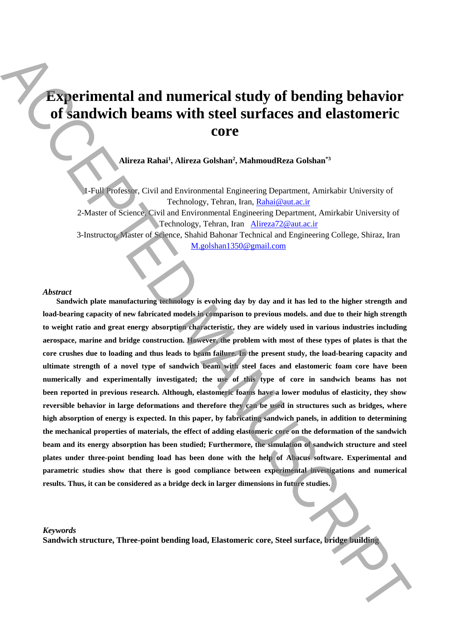# **Experimental and numerical study of bending behavior of sandwich beams with steel surfaces and elastomeric core**

**Alireza Rahai<sup>1</sup> , Alireza Golshan<sup>2</sup> , MahmoudReza Golshan\*3**

1-Full Professor, Civil and Environmental Engineering Department, Amirkabir University of Technology, Tehran, Iran, Rahai@aut.ac.ir

2-Master of Science, Civil and Environmental Engineering Department, Amirkabir University of Technology, Tehran, Iran Alireza72@aut.ac.ir

3-Instructor, Master of Science, Shahid Bahonar Technical and Engineering College, Shiraz, Iran M.golshan1350@gmail.com

#### *Abstract*

**Sandwich plate manufacturing technology is evolving day by day and it has led to the higher strength and load-bearing capacity of new fabricated models in comparison to previous models. and due to their high strength to weight ratio and great energy absorption characteristic, they are widely used in various industries including aerospace, marine and bridge construction. However, the problem with most of these types of plates is that the core crushes due to loading and thus leads to beam failure. In the present study, the load-bearing capacity and ultimate strength of a novel type of sandwich beam with steel faces and elastomeric foam core have been numerically and experimentally investigated; the use of this type of core in sandwich beams has not been reported in previous research. Although, elastomeric foams have a lower modulus of elasticity, they show reversible behavior in large deformations and therefore they can be used in structures such as bridges, where high absorption of energy is expected. In this paper, by fabricating sandwich panels, in addition to determining the mechanical properties of materials, the effect of adding elastomeric core on the deformation of the sandwich beam and its energy absorption has been studied; Furthermore, the simulation of sandwich structure and steel plates under three-point bending load has been done with the help of Abacus software. Experimental and parametric studies show that there is good compliance between experimental investigations and numerical results. Thus, it can be considered as a bridge deck in larger dimensions in future studies. Sandwich structure in the core of the core of the core of the core of the core of the core of the core of the core of the core of the core of the core of the core of the core of the core of the core of the core of the cor** 

*Keywords*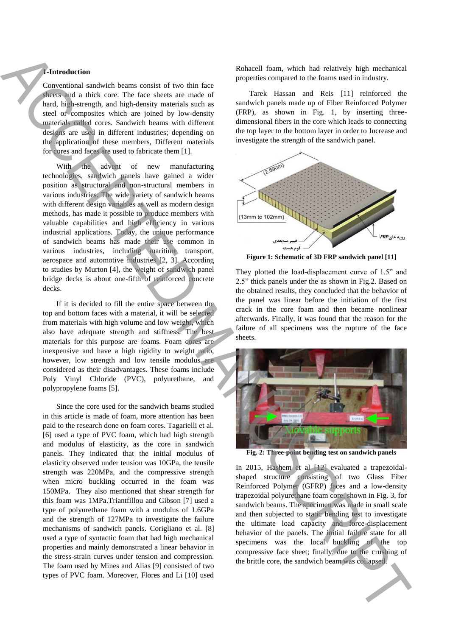## **1-Introduction**

Conventional sandwich beams consist of two thin face sheets and a thick core. The face sheets are made of hard, high-strength, and high-density materials such as steel or composites which are joined by low-density materials called cores. Sandwich beams with different designs are used in different industries; depending on the application of these members, Different materials for cores and faces are used to fabricate them [1].

With the advent of new manufacturing technologies, sandwich panels have gained a wider position as structural and non-structural members in various industries. The wide variety of sandwich beams with different design variables as well as modern design methods, has made it possible to produce members with valuable capabilities and high efficiency in various industrial applications. Today, the unique performance of sandwich beams has made their use common in various industries, including maritime transport, aerospace and automotive industries [2, 3]. According to studies by Murton [4], the weight of sandwich panel bridge decks is about one-fifth of reinforced concrete decks.

If it is decided to fill the entire space between the top and bottom faces with a material, it will be selected from materials with high volume and low weight, which also have adequate strength and stiffness. The best materials for this purpose are foams. Foam cores are inexpensive and have a high rigidity to weight ratio, however, low strength and low tensile modulus are considered as their disadvantages. These foams include Poly Vinyl Chloride (PVC), polyurethane, and polypropylene foams [5].

Since the core used for the sandwich beams studied in this article is made of foam, more attention has been paid to the research done on foam cores. Tagarielli et al. [6] used a type of PVC foam, which had high strength and modulus of elasticity, as the core in sandwich panels. They indicated that the initial modulus of elasticity observed under tension was 10GPa, the tensile strength was 220MPa, and the compressive strength when micro buckling occurred in the foam was 150MPa. They also mentioned that shear strength for this foam was 1MPa.Triantfillou and Gibson [7] used a type of polyurethane foam with a modulus of 1.6GPa and the strength of 127MPa to investigate the failure mechanisms of sandwich panels. Corigliano et al. [8] used a type of syntactic foam that had high mechanical properties and mainly demonstrated a linear behavior in the stress-strain curves under tension and compression. The foam used by Mines and Alias [9] consisted of two types of PVC foam. Moreover, Flores and Li [10] used Antitreduction is a second of the same of the same of the same of the same of the same of the same of the same of the same of the same of the same of the same of the same of the same of the same of the same of the same of

Rohacell foam, which had relatively high mechanical properties compared to the foams used in industry.

Tarek Hassan and Reis [11] reinforced the sandwich panels made up of Fiber Reinforced Polymer (FRP), as shown in Fig. 1, by inserting threedimensional fibers in the core which leads to connecting the top layer to the bottom layer in order to Increase and investigate the strength of the sandwich panel.



**Figure 1: Schematic of 3D FRP sandwich panel [11]**

They plotted the load-displacement curve of 1.5" and 2.5" thick panels under the as shown in Fig.2. Based on the obtained results, they concluded that the behavior of the panel was linear before the initiation of the first crack in the core foam and then became nonlinear afterwards. Finally, it was found that the reason for the failure of all specimens was the rupture of the face sheets.



**Fig. 2: Three-point bending test on sandwich panels**

In 2015, Hashem et al [12] evaluated a trapezoidalshaped structure consisting of two Glass Fiber Reinforced Polymer (GFRP) faces and a low-density trapezoidal polyurethane foam core, shown in Fig. 3, for sandwich beams. The specimen was made in small scale and then subjected to static bending test to investigate the ultimate load capacity and force-displacement behavior of the panels. The initial failure state for all specimens was the local buckling of the top compressive face sheet; finally, due to the crushing of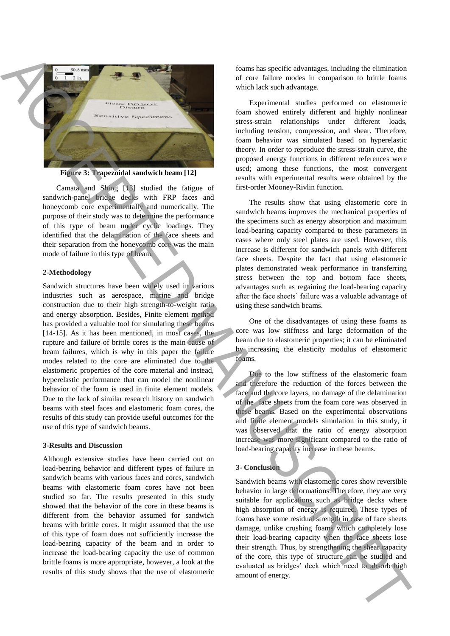

**Figure 3: Trapezoidal sandwich beam [12]**

Camata and Shing [13] studied the fatigue of sandwich-panel bridge decks with FRP faces and honeycomb core experimentally and numerically. The purpose of their study was to determine the performance of this type of beam under cyclic loadings. They identified that the delamination of the face sheets and their separation from the honeycomb core was the main mode of failure in this type of beam.

#### **2-Methodology**

Sandwich structures have been widely used in various industries such as aerospace, marine and bridge construction due to their high strength-to-weight ratio and energy absorption. Besides, Finite element method has provided a valuable tool for simulating these beams [14-15]. As it has been mentioned, in most cases, the rupture and failure of brittle cores is the main cause of beam failures, which is why in this paper the failure modes related to the core are eliminated due to the elastomeric properties of the core material and instead, hyperelastic performance that can model the nonlinear behavior of the foam is used in finite element models. Due to the lack of similar research history on sandwich beams with steel faces and elastomeric foam cores, the results of this study can provide useful outcomes for the use of this type of sandwich beams. From the energy of the matrix in each of the matrix in each of the matrix in each of the matrix in each of the matrix in each of the matrix in the matrix in the matrix in the matrix in the matrix in the matrix in the matr

#### **3-Results and Discussion**

Although extensive studies have been carried out on load-bearing behavior and different types of failure in sandwich beams with various faces and cores, sandwich beams with elastomeric foam cores have not been studied so far. The results presented in this study showed that the behavior of the core in these beams is different from the behavior assumed for sandwich beams with brittle cores. It might assumed that the use of this type of foam does not sufficiently increase the load-bearing capacity of the beam and in order to increase the load-bearing capacity the use of common brittle foams is more appropriate, however, a look at the results of this study shows that the use of elastomeric

foams has specific advantages, including the elimination of core failure modes in comparison to brittle foams which lack such advantage.

Experimental studies performed on elastomeric foam showed entirely different and highly nonlinear stress-strain relationships under different loads, including tension, compression, and shear. Therefore, foam behavior was simulated based on hyperelastic theory. In order to reproduce the stress-strain curve, the proposed energy functions in different references were used; among these functions, the most convergent results with experimental results were obtained by the first-order Mooney-Rivlin function.

The results show that using elastomeric core in sandwich beams improves the mechanical properties of the specimens such as energy absorption and maximum load-bearing capacity compared to these parameters in cases where only steel plates are used. However, this increase is different for sandwich panels with different face sheets. Despite the fact that using elastomeric plates demonstrated weak performance in transferring stress between the top and bottom face sheets, advantages such as regaining the load-bearing capacity after the face sheets' failure was a valuable advantage of using these sandwich beams.

One of the disadvantages of using these foams as core was low stiffness and large deformation of the beam due to elastomeric properties; it can be eliminated by increasing the elasticity modulus of elastomeric foams.

Due to the low stiffness of the elastomeric foam and therefore the reduction of the forces between the face and the core layers, no damage of the delamination of the face sheets from the foam core was observed in these beams. Based on the experimental observations and finite element models simulation in this study, it was observed that the ratio of energy absorption increase was more significant compared to the ratio of load-bearing capacity increase in these beams.

## **3- Conclusion**

Sandwich beams with elastomeric cores show reversible behavior in large deformations. Therefore, they are very suitable for applications such as bridge decks where high absorption of energy is required. These types of foams have some residual strength in case of face sheets damage, unlike crushing foams which completely lose their load-bearing capacity when the face sheets lose their strength. Thus, by strengthening the shear capacity of the core, this type of structure can be studied and evaluated as bridges' deck which need to absorb high